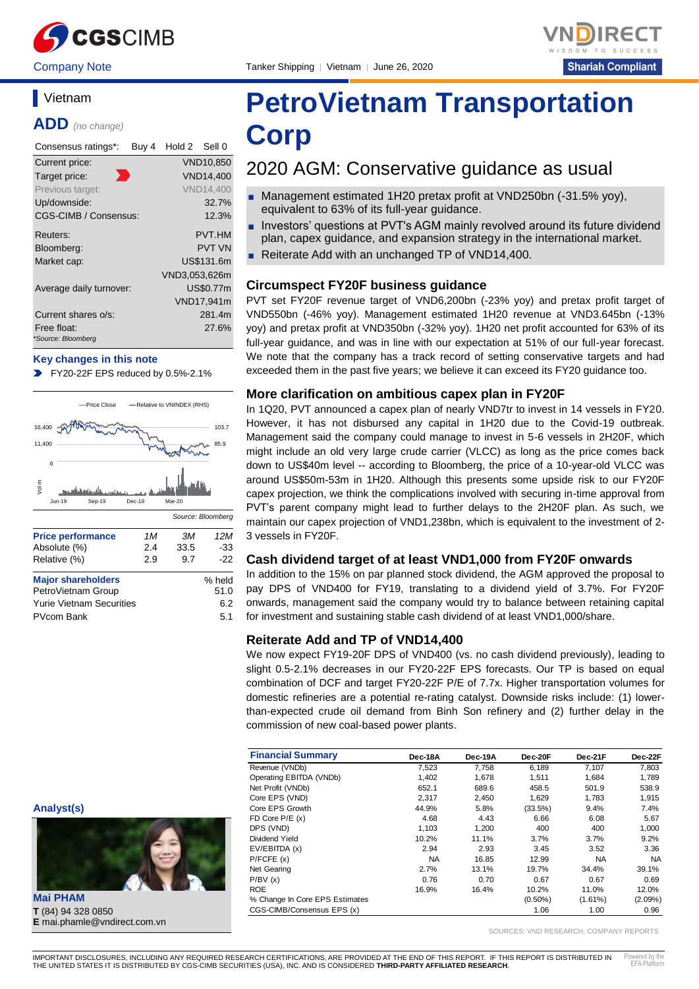

Company Note Tanker Shipping | Vietnam | June 26, 2020



### **Vietnam**

**ADD** *(no change)*

| Consensus ratings*:               | Buy 4 | Hold 2        | Sell 0           |
|-----------------------------------|-------|---------------|------------------|
| Current price:                    |       |               | VND10,850        |
| Target price:                     |       |               | <b>VND14,400</b> |
| Previous target:                  |       |               | <b>VND14.400</b> |
| Up/downside:                      |       |               | 32.7%            |
| CGS-CIMB / Consensus:             |       |               | 12.3%            |
| Reuters:                          |       |               | <b>PVT.HM</b>    |
| Bloomberg:                        |       |               | <b>PVT VN</b>    |
| Market cap:                       |       |               | US\$131.6m       |
|                                   |       | VND3,053,626m |                  |
| Average daily turnover:           |       |               | <b>US\$0.77m</b> |
|                                   |       |               | VND17,941m       |
| Current shares o/s:               |       |               | 281.4m           |
| Free float:<br>*Source: Bloomberg |       |               | 27.6%            |

#### **Key changes in this note**

FY20-22F EPS reduced by 0.5%-2.1%



| <b>Major shareholders</b>       | % held |
|---------------------------------|--------|
| PetroVietnam Group              | 51.0   |
| <b>Yurie Vietnam Securities</b> | 6.2    |
| PVcom Bank                      | 5.1    |

#### **Analyst(s)**



**Mai PHAM T** (84) 94 328 0850 **E** mai.phamle@vndirect.com.vn

# **PetroVietnam Transportation Corp**

# 2020 AGM: Conservative guidance as usual

- Management estimated 1H20 pretax profit at VND250bn (-31.5% yoy), equivalent to 63% of its full-year guidance.
- Investors' questions at PVT's AGM mainly revolved around its future dividend plan, capex guidance, and expansion strategy in the international market.
- Reiterate Add with an unchanged TP of VND14,400.

#### **Circumspect FY20F business guidance**

PVT set FY20F revenue target of VND6,200bn (-23% yoy) and pretax profit target of VND550bn (-46% yoy). Management estimated 1H20 revenue at VND3.645bn (-13% yoy) and pretax profit at VND350bn (-32% yoy). 1H20 net profit accounted for 63% of its full-year guidance, and was in line with our expectation at 51% of our full-year forecast. We note that the company has a track record of setting conservative targets and had exceeded them in the past five years; we believe it can exceed its FY20 guidance too.

#### **More clarification on ambitious capex plan in FY20F**

In 1Q20, PVT announced a capex plan of nearly VND7tr to invest in 14 vessels in FY20. However, it has not disbursed any capital in 1H20 due to the Covid-19 outbreak. Management said the company could manage to invest in 5-6 vessels in 2H20F, which might include an old very large crude carrier (VLCC) as long as the price comes back down to US\$40m level -- according to Bloomberg, the price of a 10-year-old VLCC was around US\$50m-53m in 1H20. Although this presents some upside risk to our FY20F capex projection, we think the complications involved with securing in-time approval from PVT's parent company might lead to further delays to the 2H20F plan. As such, we maintain our capex projection of VND1,238bn, which is equivalent to the investment of 2- 3 vessels in FY20F.

#### **Cash dividend target of at least VND1,000 from FY20F onwards**

In addition to the 15% on par planned stock dividend, the AGM approved the proposal to pay DPS of VND400 for FY19, translating to a dividend yield of 3.7%. For FY20F onwards, management said the company would try to balance between retaining capital for investment and sustaining stable cash dividend of at least VND1,000/share.

#### **Reiterate Add and TP of VND14,400**

We now expect FY19-20F DPS of VND400 (vs. no cash dividend previously), leading to slight 0.5-2.1% decreases in our FY20-22F EPS forecasts. Our TP is based on equal combination of DCF and target FY20-22F P/E of 7.7x. Higher transportation volumes for domestic refineries are a potential re-rating catalyst. Downside risks include: (1) lowerthan-expected crude oil demand from Binh Son refinery and (2) further delay in the commission of new coal-based power plants.

| <b>Financial Summary</b>       | Dec-18A   | Dec-19A | Dec-20F    | Dec-21F    | Dec-22F    |
|--------------------------------|-----------|---------|------------|------------|------------|
| Revenue (VNDb)                 | 7,523     | 7.758   | 6,189      | 7,107      | 7,803      |
| Operating EBITDA (VNDb)        | 1,402     | 1,678   | 1,511      | 1,684      | 1,789      |
| Net Profit (VNDb)              | 652.1     | 689.6   | 458.5      | 501.9      | 538.9      |
| Core EPS (VND)                 | 2.317     | 2.450   | 1.629      | 1.783      | 1.915      |
| Core EPS Growth                | 44.9%     | 5.8%    | (33.5%)    | 9.4%       | 7.4%       |
| FD Core $P/E(x)$               | 4.68      | 4.43    | 6.66       | 6.08       | 5.67       |
| DPS (VND)                      | 1.103     | 1.200   | 400        | 400        | 1,000      |
| Dividend Yield                 | 10.2%     | 11.1%   | 3.7%       | 3.7%       | 9.2%       |
| EV/EBITDA (x)                  | 2.94      | 2.93    | 3.45       | 3.52       | 3.36       |
| P/FCFE(x)                      | <b>NA</b> | 16.85   | 12.99      | NA.        | <b>NA</b>  |
| Net Gearing                    | 2.7%      | 13.1%   | 19.7%      | 34.4%      | 39.1%      |
| P/BV(x)                        | 0.76      | 0.70    | 0.67       | 0.67       | 0.69       |
| <b>ROE</b>                     | 16.9%     | 16.4%   | 10.2%      | 11.0%      | 12.0%      |
| % Change In Core EPS Estimates |           |         | $(0.50\%)$ | $(1.61\%)$ | $(2.09\%)$ |
| CGS-CIMB/Consensus EPS (x)     |           |         | 1.06       | 1.00       | 0.96       |

SOURCES: VND RESEARCH, COMPANY REPORTS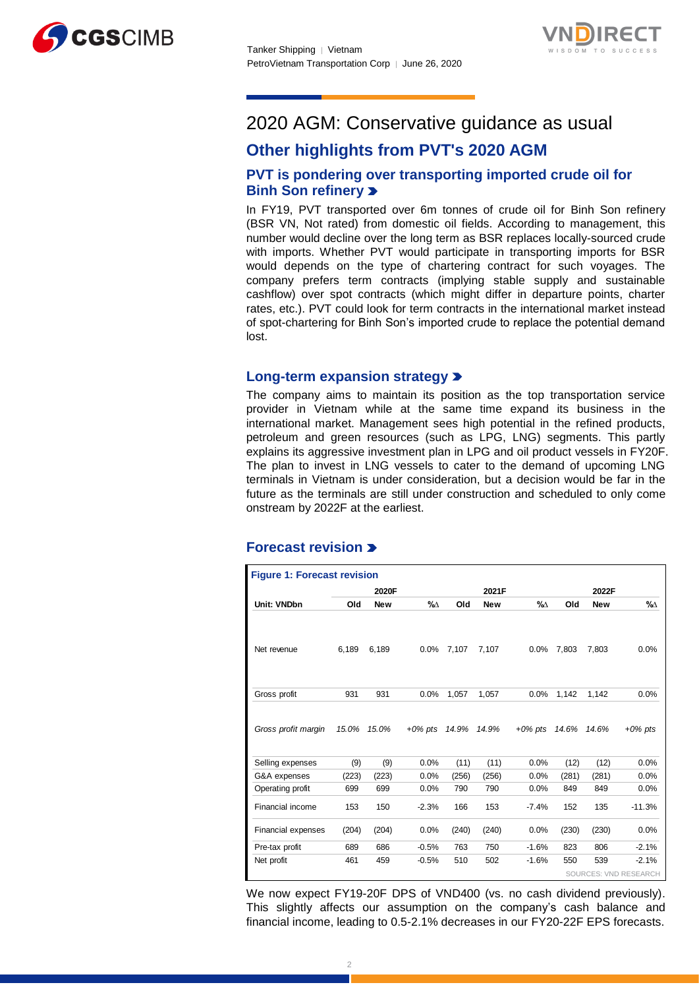



# 2020 AGM: Conservative guidance as usual

# **Other highlights from PVT's 2020 AGM**

#### **PVT is pondering over transporting imported crude oil for Binh Son refinery**

In FY19, PVT transported over 6m tonnes of crude oil for Binh Son refinery (BSR VN, Not rated) from domestic oil fields. According to management, this number would decline over the long term as BSR replaces locally-sourced crude with imports. Whether PVT would participate in transporting imports for BSR would depends on the type of chartering contract for such voyages. The company prefers term contracts (implying stable supply and sustainable cashflow) over spot contracts (which might differ in departure points, charter rates, etc.). PVT could look for term contracts in the international market instead of spot-chartering for Binh Son's imported crude to replace the potential demand lost.

#### **Long-term expansion strategy**

The company aims to maintain its position as the top transportation service provider in Vietnam while at the same time expand its business in the international market. Management sees high potential in the refined products, petroleum and green resources (such as LPG, LNG) segments. This partly explains its aggressive investment plan in LPG and oil product vessels in FY20F. The plan to invest in LNG vessels to cater to the demand of upcoming LNG terminals in Vietnam is under consideration, but a decision would be far in the future as the terminals are still under construction and scheduled to only come onstream by 2022F at the earliest.

#### **Forecast revision**

| <b>Figure 1: Forecast revision</b> |       |            |            |       |            |            |       |            |                              |
|------------------------------------|-------|------------|------------|-------|------------|------------|-------|------------|------------------------------|
|                                    |       | 2020F      |            |       | 2021F      |            |       | 2022F      |                              |
| Unit: VNDbn                        | Old   | <b>New</b> | %∆         | Old   | <b>New</b> | %∆         | Old   | <b>New</b> | %∆                           |
| Net revenue                        | 6,189 | 6,189      | 0.0%       | 7.107 | 7.107      | 0.0%       | 7.803 | 7.803      | 0.0%                         |
| Gross profit                       | 931   | 931        | 0.0%       | 1,057 | 1,057      | 0.0%       | 1,142 | 1,142      | 0.0%                         |
| Gross profit margin                | 15.0% | 15.0%      | $+0\%$ pts | 14.9% | 14.9%      | $+0\%$ pts | 14.6% | 14.6%      | $+0\%$ pts                   |
| Selling expenses                   | (9)   | (9)        | 0.0%       | (11)  | (11)       | 0.0%       | (12)  | (12)       | 0.0%                         |
| G&A expenses                       | (223) | (223)      | 0.0%       | (256) | (256)      | 0.0%       | (281) | (281)      | 0.0%                         |
| Operating profit                   | 699   | 699        | 0.0%       | 790   | 790        | 0.0%       | 849   | 849        | 0.0%                         |
| Financial income                   | 153   | 150        | $-2.3%$    | 166   | 153        | $-7.4%$    | 152   | 135        | $-11.3%$                     |
| <b>Financial expenses</b>          | (204) | (204)      | 0.0%       | (240) | (240)      | 0.0%       | (230) | (230)      | 0.0%                         |
| Pre-tax profit                     | 689   | 686        | $-0.5%$    | 763   | 750        | $-1.6%$    | 823   | 806        | $-2.1%$                      |
| Net profit                         | 461   | 459        | $-0.5%$    | 510   | 502        | $-1.6%$    | 550   | 539        | $-2.1%$                      |
|                                    |       |            |            |       |            |            |       |            | <b>SOURCES: VND RESEARCH</b> |

We now expect FY19-20F DPS of VND400 (vs. no cash dividend previously). This slightly affects our assumption on the company's cash balance and financial income, leading to 0.5-2.1% decreases in our FY20-22F EPS forecasts.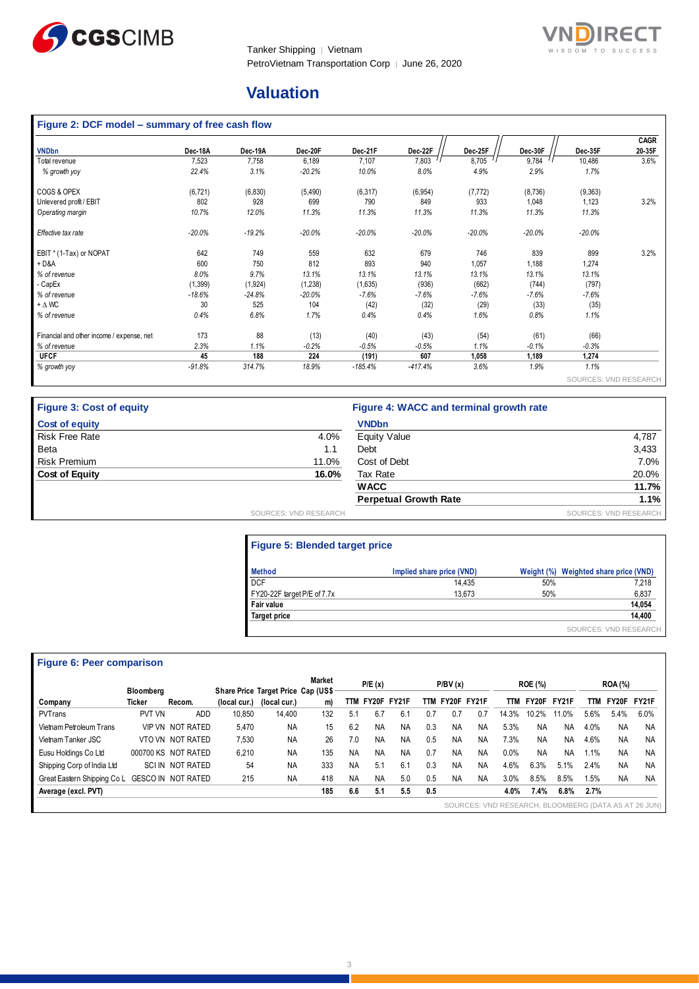



# **Valuation**

# **Figure 2: DCF model – summary of free cash flow**

|                                           |          |          |          |           |           |          |          |                       | <b>CAGR</b> |
|-------------------------------------------|----------|----------|----------|-----------|-----------|----------|----------|-----------------------|-------------|
| <b>VNDbn</b>                              | Dec-18A  | Dec-19A  | Dec-20F  | Dec-21F   | Dec-22F   | Dec-25F  | Dec-30F  | Dec-35F               | 20-35F      |
| Total revenue                             | 7,523    | 7,758    | 6,189    | 7,107     | 7,803     | 8,705    | 9,784    | 10,486                | 3.6%        |
| % growth yoy                              | 22.4%    | 3.1%     | $-20.2%$ | 10.0%     | 8.0%      | 4.9%     | 2.9%     | 1.7%                  |             |
| COGS & OPEX                               | (6, 721) | (6, 830) | (5, 490) | (6, 317)  | (6, 954)  | (7, 772) | (8, 736) | (9,363)               |             |
| Unlevered profit / EBIT                   | 802      | 928      | 699      | 790       | 849       | 933      | 1,048    | 1,123                 | 3.2%        |
| Operating margin                          | 10.7%    | 12.0%    | 11.3%    | 11.3%     | 11.3%     | 11.3%    | 11.3%    | 11.3%                 |             |
| Effective tax rate                        | $-20.0%$ | $-19.2%$ | $-20.0%$ | $-20.0%$  | $-20.0%$  | $-20.0%$ | $-20.0%$ | $-20.0%$              |             |
| EBIT * (1-Tax) or NOPAT                   | 642      | 749      | 559      | 632       | 679       | 746      | 839      | 899                   | 3.2%        |
| $+D&A$                                    | 600      | 750      | 812      | 893       | 940       | 1,057    | 1,188    | 1,274                 |             |
| % of revenue                              | 8.0%     | 9.7%     | 13.1%    | 13.1%     | 13.1%     | 13.1%    | 13.1%    | 13.1%                 |             |
| - CapEx                                   | (1, 399) | (1,924)  | (1,238)  | (1,635)   | (936)     | (662)    | (744)    | (797)                 |             |
| % of revenue                              | $-18.6%$ | $-24.8%$ | $-20.0%$ | $-7.6%$   | $-7.6%$   | $-7.6%$  | $-7.6%$  | $-7.6%$               |             |
| $+\Delta$ WC                              | 30       | 525      | 104      | (42)      | (32)      | (29)     | (33)     | (35)                  |             |
| % of revenue                              | 0.4%     | 6.8%     | 1.7%     | 0.4%      | 0.4%      | 1.6%     | 0.8%     | 1.1%                  |             |
| Financial and other income / expense, net | 173      | 88       | (13)     | (40)      | (43)      | (54)     | (61)     | (66)                  |             |
| % of revenue                              | 2.3%     | 1.1%     | $-0.2%$  | $-0.5%$   | $-0.5%$   | 1.1%     | $-0.1%$  | $-0.3%$               |             |
| <b>UFCF</b>                               | 45       | 188      | 224      | (191)     | 607       | 1,058    | 1,189    | 1,274                 |             |
| % growth yoy                              | $-91.8%$ | 314.7%   | 18.9%    | $-185.4%$ | $-417.4%$ | 3.6%     | 1.9%     | 1.1%                  |             |
|                                           |          |          |          |           |           |          |          | SOURCES: VND RESEARCH |             |

| <b>Figure 3: Cost of equity</b> |                       | Figure 4: WACC and terminal growth rate |                       |
|---------------------------------|-----------------------|-----------------------------------------|-----------------------|
| <b>Cost of equity</b>           |                       | <b>VNDbn</b>                            |                       |
| <b>Risk Free Rate</b>           | 4.0%                  | <b>Equity Value</b>                     | 4,787                 |
| Beta                            | 1.1                   | Debt                                    | 3,433                 |
| <b>Risk Premium</b>             | 11.0%                 | Cost of Debt                            | 7.0%                  |
| <b>Cost of Equity</b>           | 16.0%                 | Tax Rate                                | 20.0%                 |
|                                 |                       | <b>WACC</b>                             | 11.7%                 |
|                                 |                       | <b>Perpetual Growth Rate</b>            | 1.1%                  |
|                                 | SOURCES: VND RESEARCH |                                         | SOURCES: VND RESEARCH |

### **Figure 5: Blended target price**

| <b>Method</b>               | Implied share price (VND) |     | Weight (%) Weighted share price (VND) |
|-----------------------------|---------------------------|-----|---------------------------------------|
| <b>DCF</b>                  | 14.435                    | 50% | 7,218                                 |
| FY20-22F target P/E of 7.7x | 13.673                    | 50% | 6,837                                 |
| <b>Fair value</b>           |                           |     | 14,054                                |
| <b>Target price</b>         |                           |     | 14,400                                |
|                             |                           |     | SOURCES: VND RESEARCH                 |

#### **Figure 6: Peer comparison**

| <b>Figure 6: Peer comparison</b> |                  |                           |              |                                    |        |           |           |             |     |           |           |            |                |              |      |                |                                                      |
|----------------------------------|------------------|---------------------------|--------------|------------------------------------|--------|-----------|-----------|-------------|-----|-----------|-----------|------------|----------------|--------------|------|----------------|------------------------------------------------------|
|                                  | <b>Bloombera</b> |                           |              | Share Price Target Price Cap (US\$ | Market |           | P/E(x)    |             |     | P/BV(x)   |           |            | <b>ROE (%)</b> |              |      | <b>ROA</b> (%) |                                                      |
| Company                          | Ticker           | Recom.                    | (local cur.) | (local cur.)                       | m)     | TTM       |           | FY20F FY21F | TTM | FY20F     | FY21F     | <b>TTM</b> | FY20F          | <b>FY21F</b> | TTM  | FY20F          | FY21F                                                |
| PVTrans                          | PVT VN           | <b>ADD</b>                | 10,850       | 14,400                             | 132    | 5.1       | 6.7       | 6.1         | 0.7 | 0.7       | 0.7       | 14.3%      | 10.2%          | 11.0%        | 5.6% | 5.4%           | 6.0%                                                 |
| Vietnam Petroleum Trans          |                  | <b>VIP VN NOT RATED</b>   | 5,470        | <b>NA</b>                          | 15     | 6.2       | <b>NA</b> | NA          | 0.3 | <b>NA</b> | NA        | 5.3%       | <b>NA</b>      | <b>NA</b>    | 4.0% | <b>NA</b>      | <b>NA</b>                                            |
| Vietnam Tanker JSC               |                  | VTO VN NOT RATED          | 7,530        | <b>NA</b>                          | 26     | 7.0       | NA        | <b>NA</b>   | 0.5 | <b>NA</b> | NA        | 7.3%       | <b>NA</b>      | <b>NA</b>    | 4.6% | <b>NA</b>      | <b>NA</b>                                            |
| Eusu Holdings Co Ltd             |                  | 000700 KS NOT RATED       | 6,210        | <b>NA</b>                          | 135    | <b>NA</b> | NA        | NA          | 0.7 | NA        | NA        | 0.0%       | <b>NA</b>      | <b>NA</b>    | 1.1% | <b>NA</b>      | <b>NA</b>                                            |
| Shipping Corp of India Ltd       |                  | <b>SCIIN NOT RATED</b>    | 54           | <b>NA</b>                          | 333    | <b>NA</b> | 5.1       | 6.1         | 0.3 | <b>NA</b> | <b>NA</b> | 4.6%       | 6.3%           | 5.1%         | 2.4% | <b>NA</b>      | <b>NA</b>                                            |
| Great Eastern Shipping Co L      |                  | <b>GESCO IN NOT RATED</b> | 215          | <b>NA</b>                          | 418    | <b>NA</b> | ΝA        | 5.0         | 0.5 | <b>NA</b> | <b>NA</b> | 3.0%       | 8.5%           | 8.5%         | 1.5% | <b>NA</b>      | <b>NA</b>                                            |
| Average (excl. PVT)              |                  |                           |              |                                    | 185    | 6.6       | 5.1       | 5.5         | 0.5 |           |           | 4.0%       | 7.4%           | 6.8%         | 2.7% |                |                                                      |
|                                  |                  |                           |              |                                    |        |           |           |             |     |           |           |            |                |              |      |                | SOURCES: VND RESEARCH, BLOOMBERG (DATA AS AT 26 JUN) |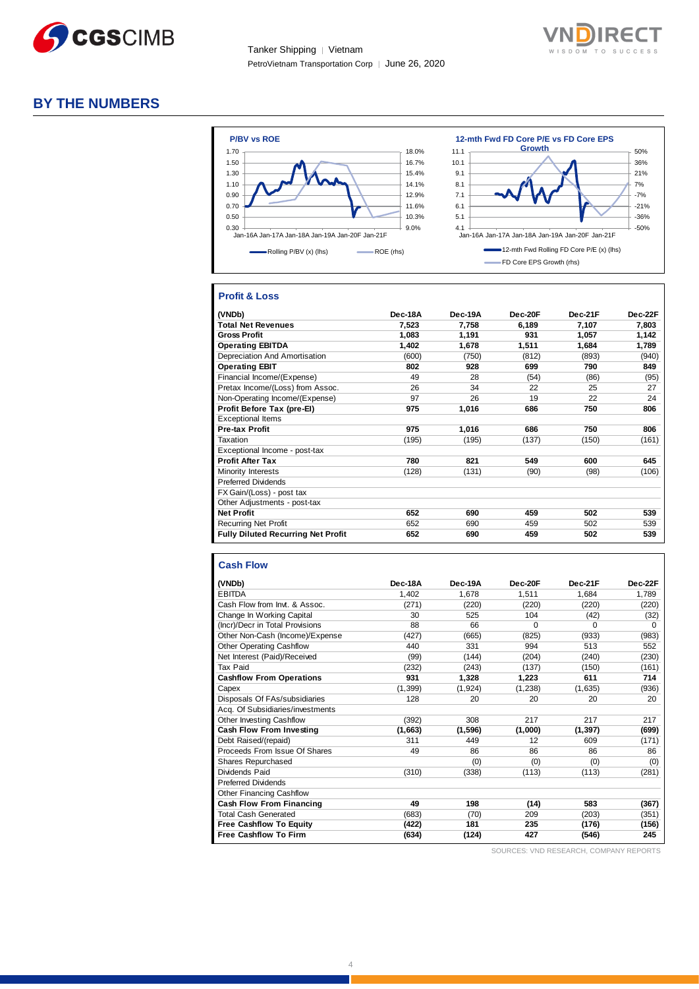

Tanker Shipping │ Vietnam PetroVietnam Transportation Corp | June 26, 2020



#### **BY THE NUMBERS**



#### **Profit & Loss**

| (VNDb)                                    | Dec-18A | Dec-19A | Dec-20F | Dec-21F | Dec-22F |
|-------------------------------------------|---------|---------|---------|---------|---------|
| <b>Total Net Revenues</b>                 | 7,523   | 7,758   | 6,189   | 7,107   | 7,803   |
| <b>Gross Profit</b>                       | 1,083   | 1,191   | 931     | 1,057   | 1,142   |
| <b>Operating EBITDA</b>                   | 1,402   | 1,678   | 1,511   | 1,684   | 1,789   |
| Depreciation And Amortisation             | (600)   | (750)   | (812)   | (893)   | (940)   |
| <b>Operating EBIT</b>                     | 802     | 928     | 699     | 790     | 849     |
| Financial Income/(Expense)                | 49      | 28      | (54)    | (86)    | (95)    |
| Pretax Income/(Loss) from Assoc.          | 26      | 34      | 22      | 25      | 27      |
| Non-Operating Income/(Expense)            | 97      | 26      | 19      | 22      | 24      |
| Profit Before Tax (pre-El)                | 975     | 1,016   | 686     | 750     | 806     |
| <b>Exceptional Items</b>                  |         |         |         |         |         |
| <b>Pre-tax Profit</b>                     | 975     | 1,016   | 686     | 750     | 806     |
| Taxation                                  | (195)   | (195)   | (137)   | (150)   | (161)   |
| Exceptional Income - post-tax             |         |         |         |         |         |
| <b>Profit After Tax</b>                   | 780     | 821     | 549     | 600     | 645     |
| Minority Interests                        | (128)   | (131)   | (90)    | (98)    | (106)   |
| <b>Preferred Dividends</b>                |         |         |         |         |         |
| FX Gain/(Loss) - post tax                 |         |         |         |         |         |
| Other Adjustments - post-tax              |         |         |         |         |         |
| <b>Net Profit</b>                         | 652     | 690     | 459     | 502     | 539     |
| <b>Recurring Net Profit</b>               | 652     | 690     | 459     | 502     | 539     |
| <b>Fully Diluted Recurring Net Profit</b> | 652     | 690     | 459     | 502     | 539     |

#### **Cash Flow**

| (VNDb)                           | Dec-18A  | Dec-19A  | Dec-20F  | Dec-21F  | Dec-22F  |
|----------------------------------|----------|----------|----------|----------|----------|
| <b>EBITDA</b>                    | 1,402    | 1,678    | 1,511    | 1,684    | 1,789    |
| Cash Flow from Invt. & Assoc.    | (271)    | (220)    | (220)    | (220)    | (220)    |
| Change In Working Capital        | 30       | 525      | 104      | (42)     | (32)     |
| (Incr)/Decr in Total Provisions  | 88       | 66       | $\Omega$ | 0        | $\Omega$ |
| Other Non-Cash (Income)/Expense  | (427)    | (665)    | (825)    | (933)    | (983)    |
| <b>Other Operating Cashflow</b>  | 440      | 331      | 994      | 513      | 552      |
| Net Interest (Paid)/Received     | (99)     | (144)    | (204)    | (240)    | (230)    |
| <b>Tax Paid</b>                  | (232)    | (243)    | (137)    | (150)    | (161)    |
| <b>Cashflow From Operations</b>  | 931      | 1,328    | 1,223    | 611      | 714      |
| Capex                            | (1, 399) | (1, 924) | (1,238)  | (1,635)  | (936)    |
| Disposals Of FAs/subsidiaries    | 128      | 20       | 20       | 20       | 20       |
| Acq. Of Subsidiaries/investments |          |          |          |          |          |
| Other Investing Cashflow         | (392)    | 308      | 217      | 217      | 217      |
| Cash Flow From Investing         | (1,663)  | (1,596)  | (1,000)  | (1, 397) | (699)    |
| Debt Raised/(repaid)             | 311      | 449      | 12       | 609      | (171)    |
| Proceeds From Issue Of Shares    | 49       | 86       | 86       | 86       | 86       |
| <b>Shares Repurchased</b>        |          | (0)      | (0)      | (0)      | (0)      |
| Dividends Paid                   | (310)    | (338)    | (113)    | (113)    | (281)    |
| <b>Preferred Dividends</b>       |          |          |          |          |          |
| <b>Other Financing Cashflow</b>  |          |          |          |          |          |
| Cash Flow From Financing         | 49       | 198      | (14)     | 583      | (367)    |
| <b>Total Cash Generated</b>      | (683)    | (70)     | 209      | (203)    | (351)    |
| <b>Free Cashflow To Equity</b>   | (422)    | 181      | 235      | (176)    | (156)    |
| <b>Free Cashflow To Firm</b>     | (634)    | (124)    | 427      | (546)    | 245      |
|                                  |          |          |          |          |          |

SOURCES: VND RESEARCH, COMPANY REPORTS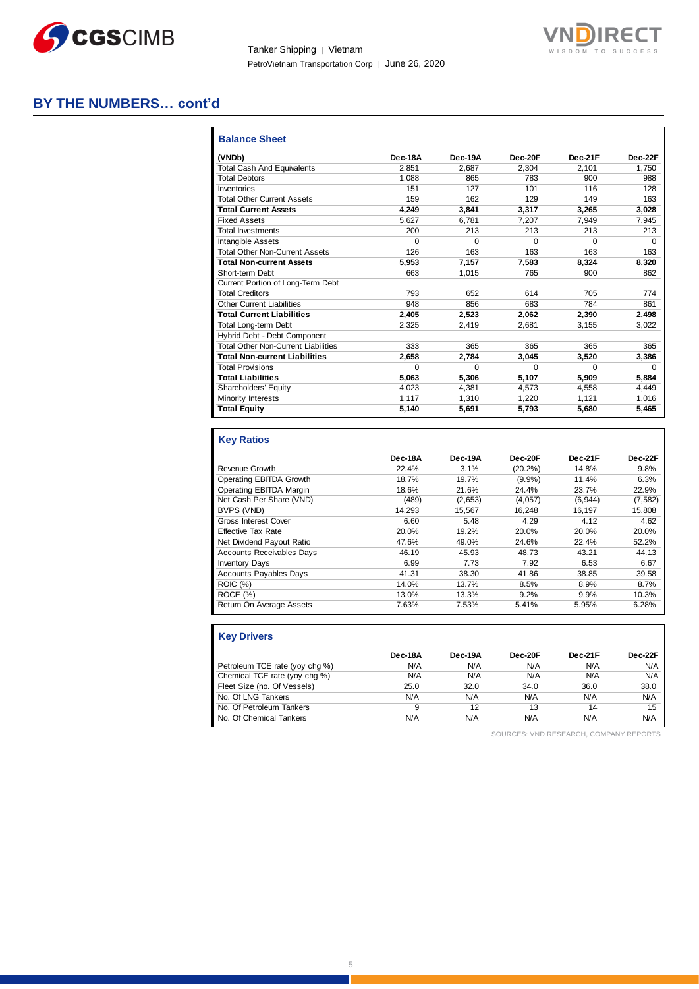

Tanker Shipping │ Vietnam PetroVietnam Transportation Corp | June 26, 2020



### **BY THE NUMBERS… cont'd**

| <b>Balance Sheet</b>                       |         |          |          |          |         |
|--------------------------------------------|---------|----------|----------|----------|---------|
| (VNDb)                                     | Dec-18A | Dec-19A  | Dec-20F  | Dec-21F  | Dec-22F |
| <b>Total Cash And Equivalents</b>          | 2.851   | 2.687    | 2,304    | 2.101    | 1,750   |
| <b>Total Debtors</b>                       | 1.088   | 865      | 783      | 900      | 988     |
| Inventories                                | 151     | 127      | 101      | 116      | 128     |
| <b>Total Other Current Assets</b>          | 159     | 162      | 129      | 149      | 163     |
| <b>Total Current Assets</b>                | 4.249   | 3,841    | 3.317    | 3,265    | 3,028   |
| <b>Fixed Assets</b>                        | 5.627   | 6.781    | 7,207    | 7,949    | 7,945   |
| <b>Total Investments</b>                   | 200     | 213      | 213      | 213      | 213     |
| Intangible Assets                          | 0       | $\Omega$ | $\Omega$ | $\Omega$ | 0       |
| <b>Total Other Non-Current Assets</b>      | 126     | 163      | 163      | 163      | 163     |
| <b>Total Non-current Assets</b>            | 5,953   | 7.157    | 7.583    | 8,324    | 8,320   |
| Short-term Debt                            | 663     | 1,015    | 765      | 900      | 862     |
| Current Portion of Long-Term Debt          |         |          |          |          |         |
| <b>Total Creditors</b>                     | 793     | 652      | 614      | 705      | 774     |
| <b>Other Current Liabilities</b>           | 948     | 856      | 683      | 784      | 861     |
| <b>Total Current Liabilities</b>           | 2.405   | 2.523    | 2.062    | 2,390    | 2,498   |
| <b>Total Long-term Debt</b>                | 2.325   | 2.419    | 2.681    | 3.155    | 3.022   |
| Hybrid Debt - Debt Component               |         |          |          |          |         |
| <b>Total Other Non-Current Liabilities</b> | 333     | 365      | 365      | 365      | 365     |
| <b>Total Non-current Liabilities</b>       | 2,658   | 2,784    | 3,045    | 3,520    | 3,386   |
| <b>Total Provisions</b>                    | 0       | $\Omega$ | $\Omega$ | $\Omega$ | 0       |
| <b>Total Liabilities</b>                   | 5,063   | 5.306    | 5.107    | 5.909    | 5.884   |
| Shareholders' Equity                       | 4.023   | 4,381    | 4,573    | 4,558    | 4,449   |
| Minority Interests                         | 1.117   | 1.310    | 1.220    | 1.121    | 1,016   |
| <b>Total Equity</b>                        | 5,140   | 5,691    | 5,793    | 5,680    | 5,465   |

#### **Key Ratios**

|                                  | Dec-18A | Dec-19A | Dec-20F    | Dec-21F  | Dec-22F  |
|----------------------------------|---------|---------|------------|----------|----------|
| Revenue Growth                   | 22.4%   | 3.1%    | $(20.2\%)$ | 14.8%    | 9.8%     |
| Operating EBITDA Growth          | 18.7%   | 19.7%   | $(9.9\%)$  | 11.4%    | 6.3%     |
| Operating EBITDA Margin          | 18.6%   | 21.6%   | 24.4%      | 23.7%    | 22.9%    |
| Net Cash Per Share (VND)         | (489)   | (2,653) | (4,057)    | (6, 944) | (7, 582) |
| BVPS (VND)                       | 14.293  | 15.567  | 16.248     | 16.197   | 15.808   |
| Gross Interest Cover             | 6.60    | 5.48    | 4.29       | 4.12     | 4.62     |
| <b>Effective Tax Rate</b>        | 20.0%   | 19.2%   | 20.0%      | 20.0%    | 20.0%    |
| Net Dividend Payout Ratio        | 47.6%   | 49.0%   | 24.6%      | 22.4%    | 52.2%    |
| <b>Accounts Receivables Days</b> | 46.19   | 45.93   | 48.73      | 43.21    | 44.13    |
| <b>Inventory Days</b>            | 6.99    | 7.73    | 7.92       | 6.53     | 6.67     |
| <b>Accounts Payables Days</b>    | 41.31   | 38.30   | 41.86      | 38.85    | 39.58    |
| <b>ROIC (%)</b>                  | 14.0%   | 13.7%   | 8.5%       | 8.9%     | 8.7%     |
| ROCE (%)                         | 13.0%   | 13.3%   | 9.2%       | 9.9%     | 10.3%    |
| Return On Average Assets         | 7.63%   | 7.53%   | 5.41%      | 5.95%    | 6.28%    |

| <b>Key Drivers</b>             |         |         |         |         |         |
|--------------------------------|---------|---------|---------|---------|---------|
|                                | Dec-18A | Dec-19A | Dec-20F | Dec-21F | Dec-22F |
| Petroleum TCE rate (yoy chg %) | N/A     | N/A     | N/A     | N/A     | N/A     |
| Chemical TCE rate (yoy chg %)  | N/A     | N/A     | N/A     | N/A     | N/A     |
| Fleet Size (no. Of Vessels)    | 25.0    | 32.0    | 34.0    | 36.0    | 38.0    |
| No. Of LNG Tankers             | N/A     | N/A     | N/A     | N/A     | N/A     |
| No. Of Petroleum Tankers       | 9       | 12      | 13      | 14      | 15      |
| No. Of Chemical Tankers        | N/A     | N/A     | N/A     | N/A     | N/A     |

SOURCES: VND RESEARCH, COMPANY REPORTS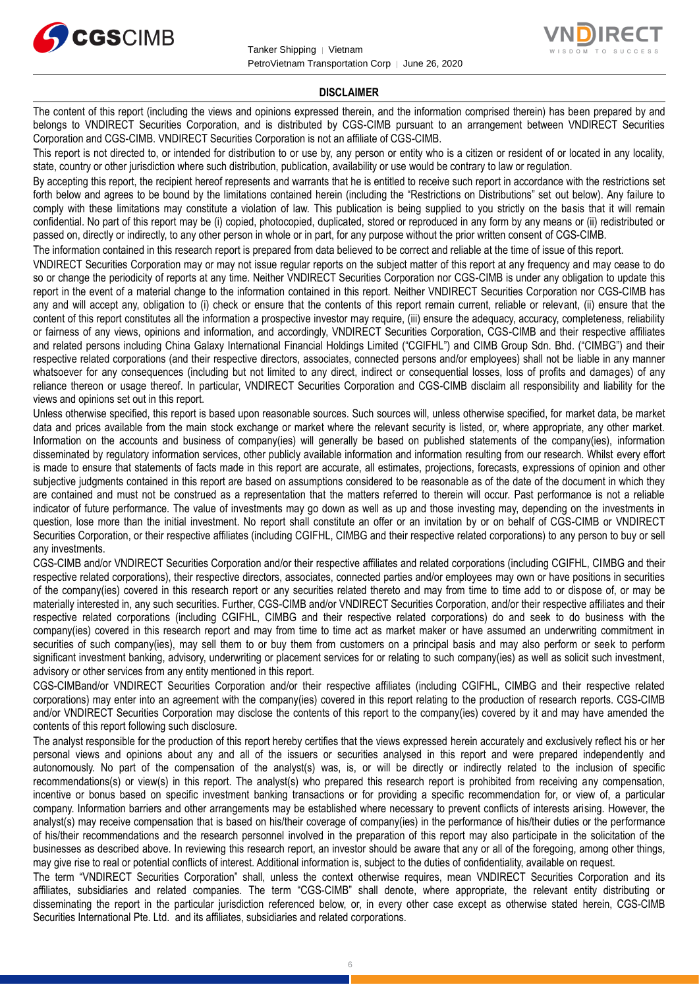



#### **DISCLAIMER**

The content of this report (including the views and opinions expressed therein, and the information comprised therein) has been prepared by and belongs to VNDIRECT Securities Corporation, and is distributed by CGS-CIMB pursuant to an arrangement between VNDIRECT Securities Corporation and CGS-CIMB. VNDIRECT Securities Corporation is not an affiliate of CGS-CIMB.

This report is not directed to, or intended for distribution to or use by, any person or entity who is a citizen or resident of or located in any locality, state, country or other jurisdiction where such distribution, publication, availability or use would be contrary to law or regulation.

By accepting this report, the recipient hereof represents and warrants that he is entitled to receive such report in accordance with the restrictions set forth below and agrees to be bound by the limitations contained herein (including the "Restrictions on Distributions" set out below). Any failure to comply with these limitations may constitute a violation of law. This publication is being supplied to you strictly on the basis that it will remain confidential. No part of this report may be (i) copied, photocopied, duplicated, stored or reproduced in any form by any means or (ii) redistributed or passed on, directly or indirectly, to any other person in whole or in part, for any purpose without the prior written consent of CGS-CIMB.

The information contained in this research report is prepared from data believed to be correct and reliable at the time of issue of this report.

VNDIRECT Securities Corporation may or may not issue regular reports on the subject matter of this report at any frequency and may cease to do so or change the periodicity of reports at any time. Neither VNDIRECT Securities Corporation nor CGS-CIMB is under any obligation to update this report in the event of a material change to the information contained in this report. Neither VNDIRECT Securities Corporation nor CGS-CIMB has any and will accept any, obligation to (i) check or ensure that the contents of this report remain current, reliable or relevant, (ii) ensure that the content of this report constitutes all the information a prospective investor may require, (iii) ensure the adequacy, accuracy, completeness, reliability or fairness of any views, opinions and information, and accordingly, VNDIRECT Securities Corporation, CGS-CIMB and their respective affiliates and related persons including China Galaxy International Financial Holdings Limited ("CGIFHL") and CIMB Group Sdn. Bhd. ("CIMBG") and their respective related corporations (and their respective directors, associates, connected persons and/or employees) shall not be liable in any manner whatsoever for any consequences (including but not limited to any direct, indirect or consequential losses, loss of profits and damages) of any reliance thereon or usage thereof. In particular, VNDIRECT Securities Corporation and CGS-CIMB disclaim all responsibility and liability for the views and opinions set out in this report.

Unless otherwise specified, this report is based upon reasonable sources. Such sources will, unless otherwise specified, for market data, be market data and prices available from the main stock exchange or market where the relevant security is listed, or, where appropriate, any other market. Information on the accounts and business of company(ies) will generally be based on published statements of the company(ies), information disseminated by regulatory information services, other publicly available information and information resulting from our research. Whilst every effort is made to ensure that statements of facts made in this report are accurate, all estimates, projections, forecasts, expressions of opinion and other subjective judgments contained in this report are based on assumptions considered to be reasonable as of the date of the document in which they are contained and must not be construed as a representation that the matters referred to therein will occur. Past performance is not a reliable indicator of future performance. The value of investments may go down as well as up and those investing may, depending on the investments in question, lose more than the initial investment. No report shall constitute an offer or an invitation by or on behalf of CGS-CIMB or VNDIRECT Securities Corporation, or their respective affiliates (including CGIFHL, CIMBG and their respective related corporations) to any person to buy or sell any investments.

CGS-CIMB and/or VNDIRECT Securities Corporation and/or their respective affiliates and related corporations (including CGIFHL, CIMBG and their respective related corporations), their respective directors, associates, connected parties and/or employees may own or have positions in securities of the company(ies) covered in this research report or any securities related thereto and may from time to time add to or dispose of, or may be materially interested in, any such securities. Further, CGS-CIMB and/or VNDIRECT Securities Corporation, and/or their respective affiliates and their respective related corporations (including CGIFHL, CIMBG and their respective related corporations) do and seek to do business with the company(ies) covered in this research report and may from time to time act as market maker or have assumed an underwriting commitment in securities of such company(ies), may sell them to or buy them from customers on a principal basis and may also perform or seek to perform significant investment banking, advisory, underwriting or placement services for or relating to such company(ies) as well as solicit such investment, advisory or other services from any entity mentioned in this report.

CGS-CIMBand/or VNDIRECT Securities Corporation and/or their respective affiliates (including CGIFHL, CIMBG and their respective related corporations) may enter into an agreement with the company(ies) covered in this report relating to the production of research reports. CGS-CIMB and/or VNDIRECT Securities Corporation may disclose the contents of this report to the company(ies) covered by it and may have amended the contents of this report following such disclosure.

The analyst responsible for the production of this report hereby certifies that the views expressed herein accurately and exclusively reflect his or her personal views and opinions about any and all of the issuers or securities analysed in this report and were prepared independently and autonomously. No part of the compensation of the analyst(s) was, is, or will be directly or indirectly related to the inclusion of specific recommendations(s) or view(s) in this report. The analyst(s) who prepared this research report is prohibited from receiving any compensation, incentive or bonus based on specific investment banking transactions or for providing a specific recommendation for, or view of, a particular company. Information barriers and other arrangements may be established where necessary to prevent conflicts of interests arising. However, the analyst(s) may receive compensation that is based on his/their coverage of company(ies) in the performance of his/their duties or the performance of his/their recommendations and the research personnel involved in the preparation of this report may also participate in the solicitation of the businesses as described above. In reviewing this research report, an investor should be aware that any or all of the foregoing, among other things, may give rise to real or potential conflicts of interest. Additional information is, subject to the duties of confidentiality, available on request.

The term "VNDIRECT Securities Corporation" shall, unless the context otherwise requires, mean VNDIRECT Securities Corporation and its affiliates, subsidiaries and related companies. The term "CGS-CIMB" shall denote, where appropriate, the relevant entity distributing or disseminating the report in the particular jurisdiction referenced below, or, in every other case except as otherwise stated herein, CGS-CIMB Securities International Pte. Ltd. and its affiliates, subsidiaries and related corporations.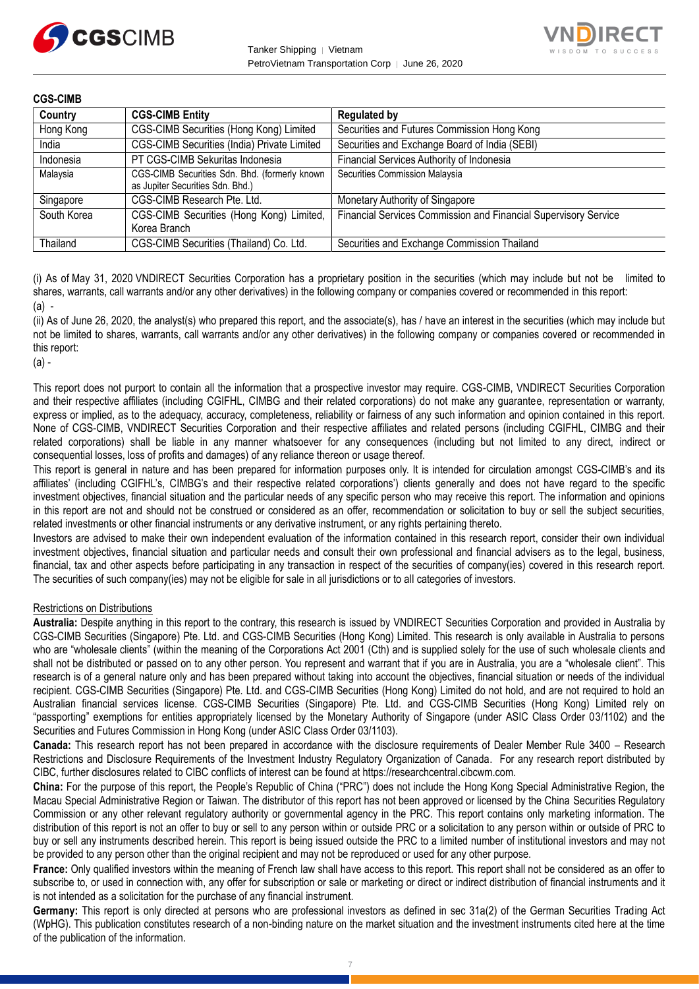



| <b>CGS-CIMB</b> |                                                                                   |                                                                 |
|-----------------|-----------------------------------------------------------------------------------|-----------------------------------------------------------------|
| Country         | <b>CGS-CIMB Entity</b>                                                            | <b>Regulated by</b>                                             |
| Hong Kong       | CGS-CIMB Securities (Hong Kong) Limited                                           | Securities and Futures Commission Hong Kong                     |
| India           | CGS-CIMB Securities (India) Private Limited                                       | Securities and Exchange Board of India (SEBI)                   |
| Indonesia       | PT CGS-CIMB Sekuritas Indonesia                                                   | Financial Services Authority of Indonesia                       |
| Malaysia        | CGS-CIMB Securities Sdn. Bhd. (formerly known<br>as Jupiter Securities Sdn. Bhd.) | Securities Commission Malaysia                                  |
| Singapore       | CGS-CIMB Research Pte. Ltd.                                                       | Monetary Authority of Singapore                                 |
| South Korea     | CGS-CIMB Securities (Hong Kong) Limited,<br>Korea Branch                          | Financial Services Commission and Financial Supervisory Service |
| Thailand        | CGS-CIMB Securities (Thailand) Co. Ltd.                                           | Securities and Exchange Commission Thailand                     |

(i) As of May 31, 2020 VNDIRECT Securities Corporation has a proprietary position in the securities (which may include but not be limited to shares, warrants, call warrants and/or any other derivatives) in the following company or companies covered or recommended in this report:  $(a)$  -

(ii) As of June 26, 2020, the analyst(s) who prepared this report, and the associate(s), has / have an interest in the securities (which may include but not be limited to shares, warrants, call warrants and/or any other derivatives) in the following company or companies covered or recommended in this report:

(a) -

This report does not purport to contain all the information that a prospective investor may require. CGS-CIMB, VNDIRECT Securities Corporation and their respective affiliates (including CGIFHL, CIMBG and their related corporations) do not make any guarantee, representation or warranty, express or implied, as to the adequacy, accuracy, completeness, reliability or fairness of any such information and opinion contained in this report. None of CGS-CIMB, VNDIRECT Securities Corporation and their respective affiliates and related persons (including CGIFHL, CIMBG and their related corporations) shall be liable in any manner whatsoever for any consequences (including but not limited to any direct, indirect or consequential losses, loss of profits and damages) of any reliance thereon or usage thereof.

This report is general in nature and has been prepared for information purposes only. It is intended for circulation amongst CGS-CIMB's and its affiliates' (including CGIFHL's, CIMBG's and their respective related corporations') clients generally and does not have regard to the specific investment objectives, financial situation and the particular needs of any specific person who may receive this report. The information and opinions in this report are not and should not be construed or considered as an offer, recommendation or solicitation to buy or sell the subject securities, related investments or other financial instruments or any derivative instrument, or any rights pertaining thereto.

Investors are advised to make their own independent evaluation of the information contained in this research report, consider their own individual investment objectives, financial situation and particular needs and consult their own professional and financial advisers as to the legal, business, financial, tax and other aspects before participating in any transaction in respect of the securities of company(ies) covered in this research report. The securities of such company(ies) may not be eligible for sale in all jurisdictions or to all categories of investors.

#### Restrictions on Distributions

**Australia:** Despite anything in this report to the contrary, this research is issued by VNDIRECT Securities Corporation and provided in Australia by CGS-CIMB Securities (Singapore) Pte. Ltd. and CGS-CIMB Securities (Hong Kong) Limited. This research is only available in Australia to persons who are "wholesale clients" (within the meaning of the Corporations Act 2001 (Cth) and is supplied solely for the use of such wholesale clients and shall not be distributed or passed on to any other person. You represent and warrant that if you are in Australia, you are a "wholesale client". This research is of a general nature only and has been prepared without taking into account the objectives, financial situation or needs of the individual recipient. CGS-CIMB Securities (Singapore) Pte. Ltd. and CGS-CIMB Securities (Hong Kong) Limited do not hold, and are not required to hold an Australian financial services license. CGS-CIMB Securities (Singapore) Pte. Ltd. and CGS-CIMB Securities (Hong Kong) Limited rely on "passporting" exemptions for entities appropriately licensed by the Monetary Authority of Singapore (under ASIC Class Order 03/1102) and the Securities and Futures Commission in Hong Kong (under ASIC Class Order 03/1103).

**Canada:** This research report has not been prepared in accordance with the disclosure requirements of Dealer Member Rule 3400 – Research Restrictions and Disclosure Requirements of the Investment Industry Regulatory Organization of Canada. For any research report distributed by CIBC, further disclosures related to CIBC conflicts of interest can be found at https://researchcentral.cibcwm.com.

**China:** For the purpose of this report, the People's Republic of China ("PRC") does not include the Hong Kong Special Administrative Region, the Macau Special Administrative Region or Taiwan. The distributor of this report has not been approved or licensed by the China Securities Regulatory Commission or any other relevant regulatory authority or governmental agency in the PRC. This report contains only marketing information. The distribution of this report is not an offer to buy or sell to any person within or outside PRC or a solicitation to any person within or outside of PRC to buy or sell any instruments described herein. This report is being issued outside the PRC to a limited number of institutional investors and may not be provided to any person other than the original recipient and may not be reproduced or used for any other purpose.

**France:** Only qualified investors within the meaning of French law shall have access to this report. This report shall not be considered as an offer to subscribe to, or used in connection with, any offer for subscription or sale or marketing or direct or indirect distribution of financial instruments and it is not intended as a solicitation for the purchase of any financial instrument.

**Germany:** This report is only directed at persons who are professional investors as defined in sec 31a(2) of the German Securities Trading Act (WpHG). This publication constitutes research of a non-binding nature on the market situation and the investment instruments cited here at the time of the publication of the information.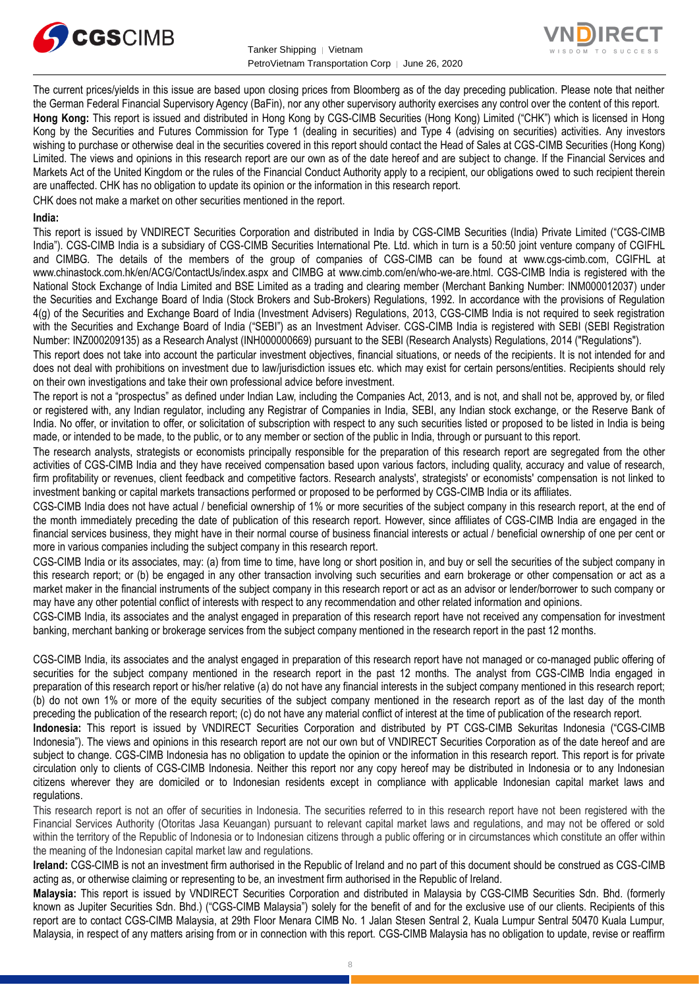



The current prices/yields in this issue are based upon closing prices from Bloomberg as of the day preceding publication. Please note that neither the German Federal Financial Supervisory Agency (BaFin), nor any other supervisory authority exercises any control over the content of this report. **Hong Kong:** This report is issued and distributed in Hong Kong by CGS-CIMB Securities (Hong Kong) Limited ("CHK") which is licensed in Hong Kong by the Securities and Futures Commission for Type 1 (dealing in securities) and Type 4 (advising on securities) activities. Any investors wishing to purchase or otherwise deal in the securities covered in this report should contact the Head of Sales at CGS-CIMB Securities (Hong Kong) Limited. The views and opinions in this research report are our own as of the date hereof and are subject to change. If the Financial Services and Markets Act of the United Kingdom or the rules of the Financial Conduct Authority apply to a recipient, our obligations owed to such recipient therein are unaffected. CHK has no obligation to update its opinion or the information in this research report.

CHK does not make a market on other securities mentioned in the report.

#### **India:**

This report is issued by VNDIRECT Securities Corporation and distributed in India by CGS-CIMB Securities (India) Private Limited ("CGS-CIMB India"). CGS-CIMB India is a subsidiary of CGS-CIMB Securities International Pte. Ltd. which in turn is a 50:50 joint venture company of CGIFHL and CIMBG. The details of the members of the group of companies of CGS-CIMB can be found at www.cgs-cimb.com, CGIFHL at www.chinastock.com.hk/en/ACG/ContactUs/index.aspx and CIMBG at www.cimb.com/en/who-we-are.html. CGS-CIMB India is registered with the National Stock Exchange of India Limited and BSE Limited as a trading and clearing member (Merchant Banking Number: INM000012037) under the Securities and Exchange Board of India (Stock Brokers and Sub-Brokers) Regulations, 1992. In accordance with the provisions of Regulation 4(g) of the Securities and Exchange Board of India (Investment Advisers) Regulations, 2013, CGS-CIMB India is not required to seek registration with the Securities and Exchange Board of India ("SEBI") as an Investment Adviser. CGS-CIMB India is registered with SEBI (SEBI Registration Number: INZ000209135) as a Research Analyst (INH000000669) pursuant to the SEBI (Research Analysts) Regulations, 2014 ("Regulations").

This report does not take into account the particular investment objectives, financial situations, or needs of the recipients. It is not intended for and does not deal with prohibitions on investment due to law/jurisdiction issues etc. which may exist for certain persons/entities. Recipients should rely on their own investigations and take their own professional advice before investment.

The report is not a "prospectus" as defined under Indian Law, including the Companies Act, 2013, and is not, and shall not be, approved by, or filed or registered with, any Indian regulator, including any Registrar of Companies in India, SEBI, any Indian stock exchange, or the Reserve Bank of India. No offer, or invitation to offer, or solicitation of subscription with respect to any such securities listed or proposed to be listed in India is being made, or intended to be made, to the public, or to any member or section of the public in India, through or pursuant to this report.

The research analysts, strategists or economists principally responsible for the preparation of this research report are segregated from the other activities of CGS-CIMB India and they have received compensation based upon various factors, including quality, accuracy and value of research, firm profitability or revenues, client feedback and competitive factors. Research analysts', strategists' or economists' compensation is not linked to investment banking or capital markets transactions performed or proposed to be performed by CGS-CIMB India or its affiliates.

CGS-CIMB India does not have actual / beneficial ownership of 1% or more securities of the subject company in this research report, at the end of the month immediately preceding the date of publication of this research report. However, since affiliates of CGS-CIMB India are engaged in the financial services business, they might have in their normal course of business financial interests or actual / beneficial ownership of one per cent or more in various companies including the subject company in this research report.

CGS-CIMB India or its associates, may: (a) from time to time, have long or short position in, and buy or sell the securities of the subject company in this research report; or (b) be engaged in any other transaction involving such securities and earn brokerage or other compensation or act as a market maker in the financial instruments of the subject company in this research report or act as an advisor or lender/borrower to such company or may have any other potential conflict of interests with respect to any recommendation and other related information and opinions.

CGS-CIMB India, its associates and the analyst engaged in preparation of this research report have not received any compensation for investment banking, merchant banking or brokerage services from the subject company mentioned in the research report in the past 12 months.

CGS-CIMB India, its associates and the analyst engaged in preparation of this research report have not managed or co-managed public offering of securities for the subject company mentioned in the research report in the past 12 months. The analyst from CGS-CIMB India engaged in preparation of this research report or his/her relative (a) do not have any financial interests in the subject company mentioned in this research report; (b) do not own 1% or more of the equity securities of the subject company mentioned in the research report as of the last day of the month preceding the publication of the research report; (c) do not have any material conflict of interest at the time of publication of the research report.

**Indonesia:** This report is issued by VNDIRECT Securities Corporation and distributed by PT CGS-CIMB Sekuritas Indonesia ("CGS-CIMB Indonesia"). The views and opinions in this research report are not our own but of VNDIRECT Securities Corporation as of the date hereof and are subject to change. CGS-CIMB Indonesia has no obligation to update the opinion or the information in this research report. This report is for private circulation only to clients of CGS-CIMB Indonesia. Neither this report nor any copy hereof may be distributed in Indonesia or to any Indonesian citizens wherever they are domiciled or to Indonesian residents except in compliance with applicable Indonesian capital market laws and regulations.

This research report is not an offer of securities in Indonesia. The securities referred to in this research report have not been registered with the Financial Services Authority (Otoritas Jasa Keuangan) pursuant to relevant capital market laws and regulations, and may not be offered or sold within the territory of the Republic of Indonesia or to Indonesian citizens through a public offering or in circumstances which constitute an offer within the meaning of the Indonesian capital market law and regulations.

**Ireland:** CGS-CIMB is not an investment firm authorised in the Republic of Ireland and no part of this document should be construed as CGS-CIMB acting as, or otherwise claiming or representing to be, an investment firm authorised in the Republic of Ireland.

**Malaysia:** This report is issued by VNDIRECT Securities Corporation and distributed in Malaysia by CGS-CIMB Securities Sdn. Bhd. (formerly known as Jupiter Securities Sdn. Bhd.) ("CGS-CIMB Malaysia") solely for the benefit of and for the exclusive use of our clients. Recipients of this report are to contact CGS-CIMB Malaysia, at 29th Floor Menara CIMB No. 1 Jalan Stesen Sentral 2, Kuala Lumpur Sentral 50470 Kuala Lumpur, Malaysia, in respect of any matters arising from or in connection with this report. CGS-CIMB Malaysia has no obligation to update, revise or reaffirm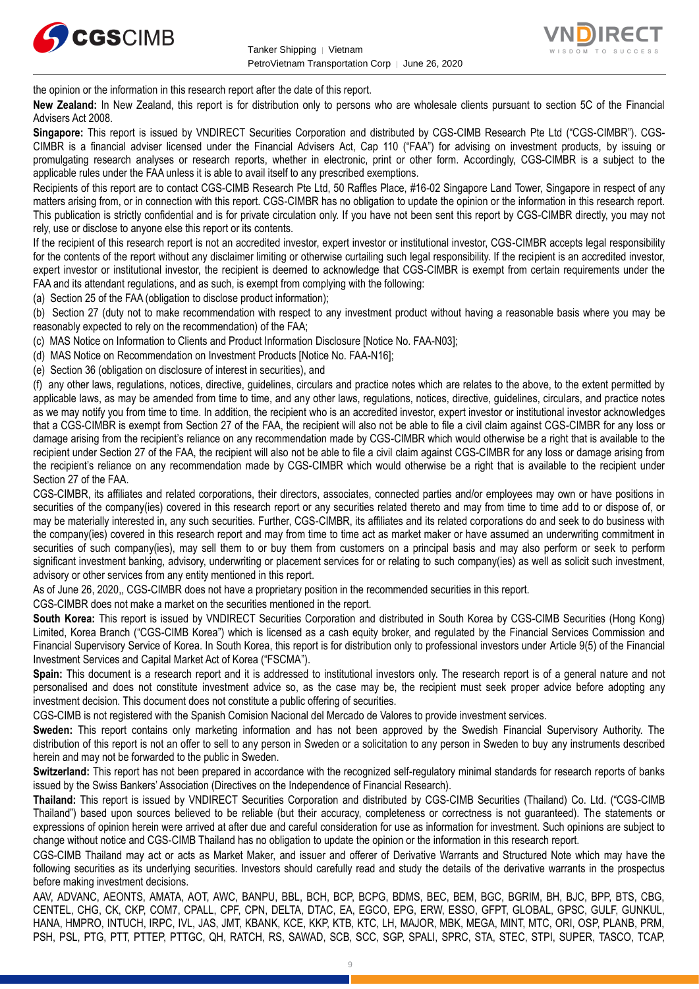



the opinion or the information in this research report after the date of this report.

**New Zealand:** In New Zealand, this report is for distribution only to persons who are wholesale clients pursuant to section 5C of the Financial Advisers Act 2008.

**Singapore:** This report is issued by VNDIRECT Securities Corporation and distributed by CGS-CIMB Research Pte Ltd ("CGS-CIMBR"). CGS-CIMBR is a financial adviser licensed under the Financial Advisers Act, Cap 110 ("FAA") for advising on investment products, by issuing or promulgating research analyses or research reports, whether in electronic, print or other form. Accordingly, CGS-CIMBR is a subject to the applicable rules under the FAA unless it is able to avail itself to any prescribed exemptions.

Recipients of this report are to contact CGS-CIMB Research Pte Ltd, 50 Raffles Place, #16-02 Singapore Land Tower, Singapore in respect of any matters arising from, or in connection with this report. CGS-CIMBR has no obligation to update the opinion or the information in this research report. This publication is strictly confidential and is for private circulation only. If you have not been sent this report by CGS-CIMBR directly, you may not rely, use or disclose to anyone else this report or its contents.

If the recipient of this research report is not an accredited investor, expert investor or institutional investor, CGS-CIMBR accepts legal responsibility for the contents of the report without any disclaimer limiting or otherwise curtailing such legal responsibility. If the recipient is an accredited investor, expert investor or institutional investor, the recipient is deemed to acknowledge that CGS-CIMBR is exempt from certain requirements under the FAA and its attendant regulations, and as such, is exempt from complying with the following:

(a) Section 25 of the FAA (obligation to disclose product information);

(b) Section 27 (duty not to make recommendation with respect to any investment product without having a reasonable basis where you may be reasonably expected to rely on the recommendation) of the FAA;

(c) MAS Notice on Information to Clients and Product Information Disclosure [Notice No. FAA-N03];

(d) MAS Notice on Recommendation on Investment Products [Notice No. FAA-N16];

(e) Section 36 (obligation on disclosure of interest in securities), and

(f) any other laws, regulations, notices, directive, guidelines, circulars and practice notes which are relates to the above, to the extent permitted by applicable laws, as may be amended from time to time, and any other laws, regulations, notices, directive, guidelines, circulars, and practice notes as we may notify you from time to time. In addition, the recipient who is an accredited investor, expert investor or institutional investor acknowledges that a CGS-CIMBR is exempt from Section 27 of the FAA, the recipient will also not be able to file a civil claim against CGS-CIMBR for any loss or damage arising from the recipient's reliance on any recommendation made by CGS-CIMBR which would otherwise be a right that is available to the recipient under Section 27 of the FAA, the recipient will also not be able to file a civil claim against CGS-CIMBR for any loss or damage arising from the recipient's reliance on any recommendation made by CGS-CIMBR which would otherwise be a right that is available to the recipient under Section 27 of the FAA.

CGS-CIMBR, its affiliates and related corporations, their directors, associates, connected parties and/or employees may own or have positions in securities of the company(ies) covered in this research report or any securities related thereto and may from time to time add to or dispose of, or may be materially interested in, any such securities. Further, CGS-CIMBR, its affiliates and its related corporations do and seek to do business with the company(ies) covered in this research report and may from time to time act as market maker or have assumed an underwriting commitment in securities of such company(ies), may sell them to or buy them from customers on a principal basis and may also perform or seek to perform significant investment banking, advisory, underwriting or placement services for or relating to such company(ies) as well as solicit such investment, advisory or other services from any entity mentioned in this report.

As of June 26, 2020,, CGS-CIMBR does not have a proprietary position in the recommended securities in this report.

CGS-CIMBR does not make a market on the securities mentioned in the report.

**South Korea:** This report is issued by VNDIRECT Securities Corporation and distributed in South Korea by CGS-CIMB Securities (Hong Kong) Limited, Korea Branch ("CGS-CIMB Korea") which is licensed as a cash equity broker, and regulated by the Financial Services Commission and Financial Supervisory Service of Korea. In South Korea, this report is for distribution only to professional investors under Article 9(5) of the Financial Investment Services and Capital Market Act of Korea ("FSCMA").

**Spain:** This document is a research report and it is addressed to institutional investors only. The research report is of a general nature and not personalised and does not constitute investment advice so, as the case may be, the recipient must seek proper advice before adopting any investment decision. This document does not constitute a public offering of securities.

CGS-CIMB is not registered with the Spanish Comision Nacional del Mercado de Valores to provide investment services.

**Sweden:** This report contains only marketing information and has not been approved by the Swedish Financial Supervisory Authority. The distribution of this report is not an offer to sell to any person in Sweden or a solicitation to any person in Sweden to buy any instruments described herein and may not be forwarded to the public in Sweden.

**Switzerland:** This report has not been prepared in accordance with the recognized self-regulatory minimal standards for research reports of banks issued by the Swiss Bankers' Association (Directives on the Independence of Financial Research).

**Thailand:** This report is issued by VNDIRECT Securities Corporation and distributed by CGS-CIMB Securities (Thailand) Co. Ltd. ("CGS-CIMB Thailand") based upon sources believed to be reliable (but their accuracy, completeness or correctness is not guaranteed). The statements or expressions of opinion herein were arrived at after due and careful consideration for use as information for investment. Such opinions are subject to change without notice and CGS-CIMB Thailand has no obligation to update the opinion or the information in this research report.

CGS-CIMB Thailand may act or acts as Market Maker, and issuer and offerer of Derivative Warrants and Structured Note which may have the following securities as its underlying securities. Investors should carefully read and study the details of the derivative warrants in the prospectus before making investment decisions.

AAV, ADVANC, AEONTS, AMATA, AOT, AWC, BANPU, BBL, BCH, BCP, BCPG, BDMS, BEC, BEM, BGC, BGRIM, BH, BJC, BPP, BTS, CBG, CENTEL, CHG, CK, CKP, COM7, CPALL, CPF, CPN, DELTA, DTAC, EA, EGCO, EPG, ERW, ESSO, GFPT, GLOBAL, GPSC, GULF, GUNKUL, HANA, HMPRO, INTUCH, IRPC, IVL, JAS, JMT, KBANK, KCE, KKP, KTB, KTC, LH, MAJOR, MBK, MEGA, MINT, MTC, ORI, OSP, PLANB, PRM, PSH, PSL, PTG, PTT, PTTEP, PTTGC, QH, RATCH, RS, SAWAD, SCB, SCC, SGP, SPALI, SPRC, STA, STEC, STPI, SUPER, TASCO, TCAP,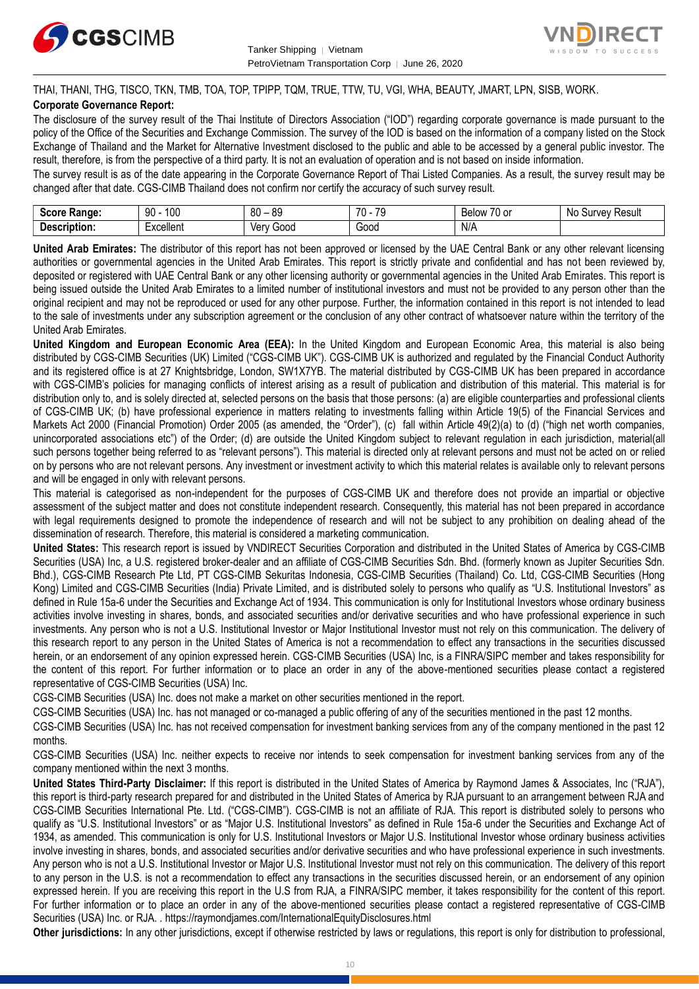



THAI, THANI, THG, TISCO, TKN, TMB, TOA, TOP, TPIPP, TQM, TRUE, TTW, TU, VGI, WHA, BEAUTY, JMART, LPN, SISB, WORK.

#### **Corporate Governance Report:**

The disclosure of the survey result of the Thai Institute of Directors Association ("IOD") regarding corporate governance is made pursuant to the policy of the Office of the Securities and Exchange Commission. The survey of the IOD is based on the information of a company listed on the Stock Exchange of Thailand and the Market for Alternative Investment disclosed to the public and able to be accessed by a general public investor. The result, therefore, is from the perspective of a third party. It is not an evaluation of operation and is not based on inside information.

The survey result is as of the date appearing in the Corporate Governance Report of Thai Listed Companies. As a result, the survey result may be changed after that date. CGS-CIMB Thailand does not confirm nor certify the accuracy of such survey result.

| . .<br><b>Range:</b><br>じへへいへ<br>-015 | 100<br>۵n<br>υv      | $\Omega$<br>RΠ<br>υv<br>ت∪ | $\overline{\phantom{a}}$<br><b>70</b><br>v | $\overline{\phantom{a}}$<br>Below<br>. or<br>$\cdot$ | Result<br>vev<br>N0<br>m<br>our |
|---------------------------------------|----------------------|----------------------------|--------------------------------------------|------------------------------------------------------|---------------------------------|
| -<br><b>Descrip</b><br>ription:       | woollon*<br>∟∧∪∪แ∪เแ | 000خ<br>Verv               | -<br>Good                                  | N/A                                                  |                                 |

**United Arab Emirates:** The distributor of this report has not been approved or licensed by the UAE Central Bank or any other relevant licensing authorities or governmental agencies in the United Arab Emirates. This report is strictly private and confidential and has not been reviewed by, deposited or registered with UAE Central Bank or any other licensing authority or governmental agencies in the United Arab Emirates. This report is being issued outside the United Arab Emirates to a limited number of institutional investors and must not be provided to any person other than the original recipient and may not be reproduced or used for any other purpose. Further, the information contained in this report is not intended to lead to the sale of investments under any subscription agreement or the conclusion of any other contract of whatsoever nature within the territory of the United Arab Emirates.

**United Kingdom and European Economic Area (EEA):** In the United Kingdom and European Economic Area, this material is also being distributed by CGS-CIMB Securities (UK) Limited ("CGS-CIMB UK"). CGS-CIMB UK is authorized and regulated by the Financial Conduct Authority and its registered office is at 27 Knightsbridge, London, SW1X7YB. The material distributed by CGS-CIMB UK has been prepared in accordance with CGS-CIMB's policies for managing conflicts of interest arising as a result of publication and distribution of this material. This material is for distribution only to, and is solely directed at, selected persons on the basis that those persons: (a) are eligible counterparties and professional clients of CGS-CIMB UK; (b) have professional experience in matters relating to investments falling within Article 19(5) of the Financial Services and Markets Act 2000 (Financial Promotion) Order 2005 (as amended, the "Order"), (c) fall within Article 49(2)(a) to (d) ("high net worth companies, unincorporated associations etc") of the Order; (d) are outside the United Kingdom subject to relevant regulation in each jurisdiction, material(all such persons together being referred to as "relevant persons"). This material is directed only at relevant persons and must not be acted on or relied on by persons who are not relevant persons. Any investment or investment activity to which this material relates is available only to relevant persons and will be engaged in only with relevant persons.

This material is categorised as non-independent for the purposes of CGS-CIMB UK and therefore does not provide an impartial or objective assessment of the subject matter and does not constitute independent research. Consequently, this material has not been prepared in accordance with legal requirements designed to promote the independence of research and will not be subject to any prohibition on dealing ahead of the dissemination of research. Therefore, this material is considered a marketing communication.

**United States:** This research report is issued by VNDIRECT Securities Corporation and distributed in the United States of America by CGS-CIMB Securities (USA) Inc, a U.S. registered broker-dealer and an affiliate of CGS-CIMB Securities Sdn. Bhd. (formerly known as Jupiter Securities Sdn. Bhd.), CGS-CIMB Research Pte Ltd, PT CGS-CIMB Sekuritas Indonesia, CGS-CIMB Securities (Thailand) Co. Ltd, CGS-CIMB Securities (Hong Kong) Limited and CGS-CIMB Securities (India) Private Limited, and is distributed solely to persons who qualify as "U.S. Institutional Investors" as defined in Rule 15a-6 under the Securities and Exchange Act of 1934. This communication is only for Institutional Investors whose ordinary business activities involve investing in shares, bonds, and associated securities and/or derivative securities and who have professional experience in such investments. Any person who is not a U.S. Institutional Investor or Major Institutional Investor must not rely on this communication. The delivery of this research report to any person in the United States of America is not a recommendation to effect any transactions in the securities discussed herein, or an endorsement of any opinion expressed herein. CGS-CIMB Securities (USA) Inc, is a FINRA/SIPC member and takes responsibility for the content of this report. For further information or to place an order in any of the above-mentioned securities please contact a registered representative of CGS-CIMB Securities (USA) Inc.

CGS-CIMB Securities (USA) Inc. does not make a market on other securities mentioned in the report.

CGS-CIMB Securities (USA) Inc. has not managed or co-managed a public offering of any of the securities mentioned in the past 12 months.

CGS-CIMB Securities (USA) Inc. has not received compensation for investment banking services from any of the company mentioned in the past 12 months.

CGS-CIMB Securities (USA) Inc. neither expects to receive nor intends to seek compensation for investment banking services from any of the company mentioned within the next 3 months.

**United States Third-Party Disclaimer:** If this report is distributed in the United States of America by Raymond James & Associates, Inc ("RJA"), this report is third-party research prepared for and distributed in the United States of America by RJA pursuant to an arrangement between RJA and CGS-CIMB Securities International Pte. Ltd. ("CGS-CIMB"). CGS-CIMB is not an affiliate of RJA. This report is distributed solely to persons who qualify as "U.S. Institutional Investors" or as "Major U.S. Institutional Investors" as defined in Rule 15a-6 under the Securities and Exchange Act of 1934, as amended. This communication is only for U.S. Institutional Investors or Major U.S. Institutional Investor whose ordinary business activities involve investing in shares, bonds, and associated securities and/or derivative securities and who have professional experience in such investments. Any person who is not a U.S. Institutional Investor or Major U.S. Institutional Investor must not rely on this communication. The delivery of this report to any person in the U.S. is not a recommendation to effect any transactions in the securities discussed herein, or an endorsement of any opinion expressed herein. If you are receiving this report in the U.S from RJA, a FINRA/SIPC member, it takes responsibility for the content of this report. For further information or to place an order in any of the above-mentioned securities please contact a registered representative of CGS-CIMB Securities (USA) Inc. or RJA. .<https://raymondjames.com/InternationalEquityDisclosures.html>

**Other jurisdictions:** In any other jurisdictions, except if otherwise restricted by laws or regulations, this report is only for distribution to professional,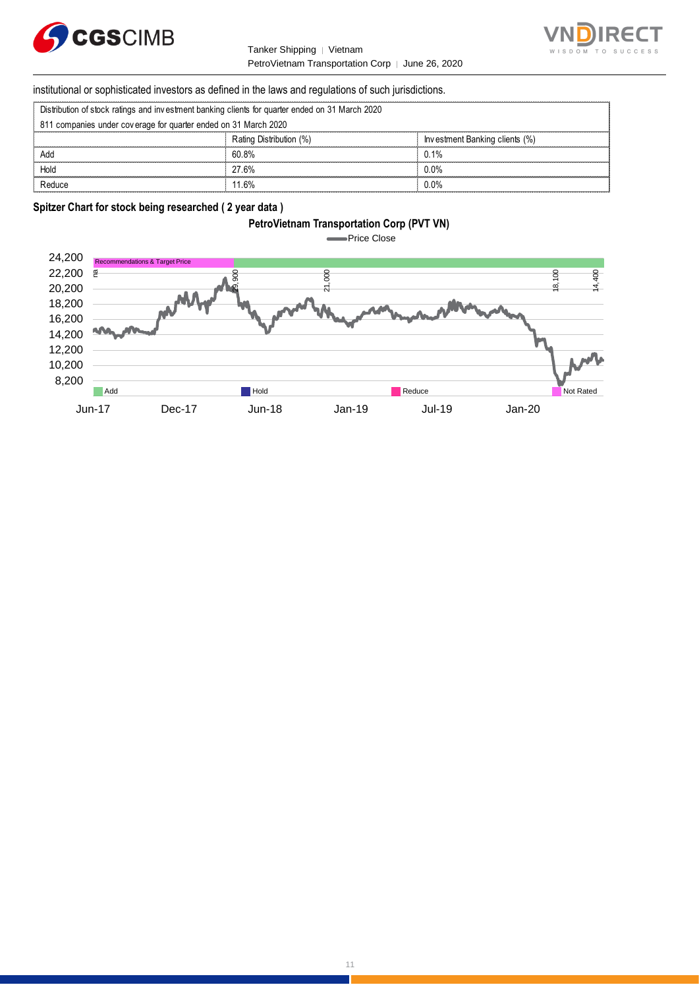

#### Tanker Shipping │ Vietnam PetroVietnam Transportation Corp | June 26, 2020



# institutional or sophisticated investors as defined in the laws and regulations of such jurisdictions. PetroVietnam Transportation Constitutional or sophisticated investors as defined in the laws and regulations of surfaction of stock ratings and investment banking clients for quarter ended on 31 March 2020

| Distribution of stock ratings and investment banking clients for quarter ended on 31 March 2020 |  |  |  |
|-------------------------------------------------------------------------------------------------|--|--|--|
|                                                                                                 |  |  |  |

| institutional or sophisticated investors as defined in the laws and regulations of such jurisdictions. |                         |                                |  |
|--------------------------------------------------------------------------------------------------------|-------------------------|--------------------------------|--|
| Distribution of stock ratings and investment banking clients for quarter ended on 31 March 2020        |                         |                                |  |
| 811 companies under coverage for quarter ended on 31 March 2020                                        |                         |                                |  |
|                                                                                                        | Rating Distribution (%) | Investment Banking clients (%) |  |
| Add                                                                                                    | 60.8%                   | 0.1%                           |  |
| Hold                                                                                                   | 27.6%                   | $0.0\%$                        |  |
| Reduce                                                                                                 | 11.6%                   | በ በ%                           |  |

#### **Spitzer Chart for stock being researched ( 2 year data )**

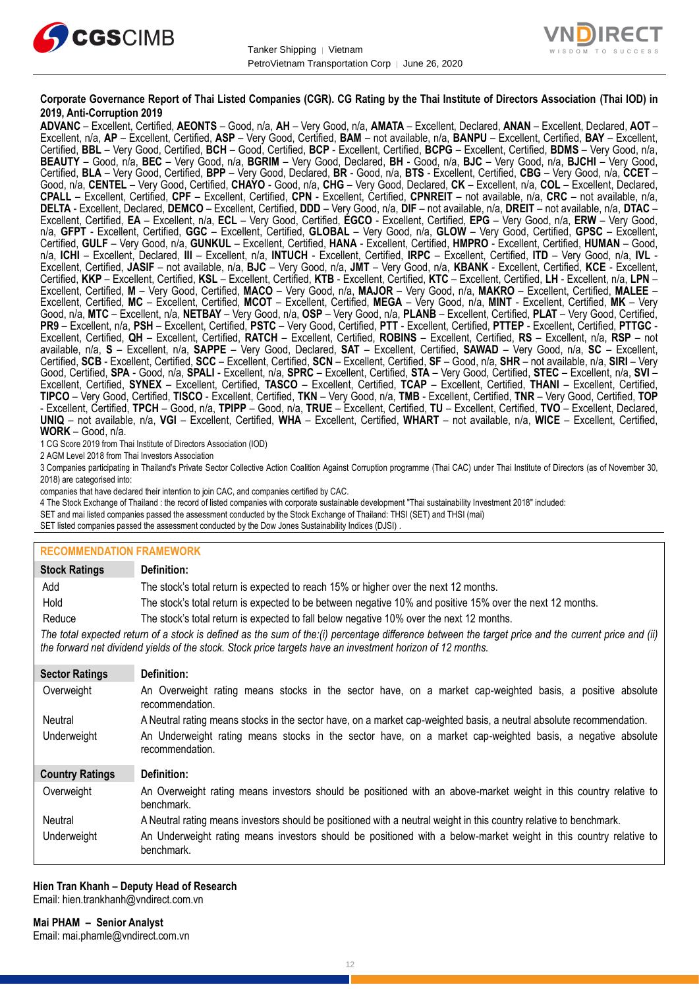



#### **Corporate Governance Report of Thai Listed Companies (CGR). CG Rating by the Thai Institute of Directors Association (Thai IOD) in 2019, Anti-Corruption 2019**

**ADVANC** – Excellent, Certified, **AEONTS** – Good, n/a, **AH** – Very Good, n/a, **AMATA** – Excellent, Declared, **ANAN** – Excellent, Declared, **AOT** – Excellent, n/a, **AP** – Excellent, Certified, **ASP** – Very Good, Certified, **BAM** – not available, n/a, **BANPU** – Excellent, Certified, **BAY** – Excellent, Certified, **BBL** – Very Good, Certified, **BCH** – Good, Certified, **BCP** - Excellent, Certified, **BCPG** – Excellent, Certified, **BDMS** – Very Good, n/a, **BEAUTY** – Good, n/a, **BEC** – Very Good, n/a, **BGRIM** – Very Good, Declared, **BH** - Good, n/a, **BJC** – Very Good, n/a, **BJCHI** – Very Good, Certified, **BLA** – Very Good, Certified, **BPP** – Very Good, Declared, **BR** - Good, n/a, **BTS** - Excellent, Certified, **CBG** – Very Good, n/a, **CCET** – Good, n/a, **CENTEL** – Very Good, Certified, **CHAYO** - Good, n/a, **CHG** – Very Good, Declared, **CK** – Excellent, n/a, **COL** – Excellent, Declared, **CPALL** – Excellent, Certified, **CPF** – Excellent, Certified, **CPN** - Excellent, Certified, **CPNREIT** – not available, n/a, **CRC** – not available, n/a, **DELTA** - Excellent, Declared, **DEMCO** – Excellent, Certified, **DDD** – Very Good, n/a, **DIF** – not available, n/a, **DREIT** – not available, n/a, **DTAC** – Excellent, Certified, **EA** – Excellent, n/a, **ECL** – Very Good, Certified, **EGCO** - Excellent, Certified, **EPG** – Very Good, n/a, **ERW** – Very Good, n/a, **GFPT** - Excellent, Certified, **GGC** – Excellent, Certified, **GLOBAL** – Very Good, n/a, **GLOW** – Very Good, Certified, **GPSC** – Excellent, Certified, **GULF** – Very Good, n/a, **GUNKUL** – Excellent, Certified, **HANA** - Excellent, Certified, **HMPRO** - Excellent, Certified, **HUMAN** – Good, n/a, **ICHI** – Excellent, Declared, **III** – Excellent, n/a, **INTUCH** - Excellent, Certified, **IRPC** – Excellent, Certified, **ITD** – Very Good, n/a, **IVL** - Excellent, Certified, **JASIF** – not available, n/a, **BJC** – Very Good, n/a, **JMT** – Very Good, n/a, **KBANK** - Excellent, Certified, **KCE** - Excellent, Certified, **KKP** – Excellent, Certified, **KSL** – Excellent, Certified, **KTB** - Excellent, Certified, **KTC** – Excellent, Certified, **LH** - Excellent, n/a, **LPN** – Excellent, Certified, **M** – Very Good, Certified, **MACO** – Very Good, n/a, **MAJOR** – Very Good, n/a, **MAKRO** – Excellent, Certified, **MALEE** – Excellent, Certified, **MC** – Excellent, Certified, **MCOT** – Excellent, Certified, **MEGA** – Very Good, n/a, **MINT** - Excellent, Certified, **MK** – Very Good, n/a, **MTC** – Excellent, n/a, **NETBAY** – Very Good, n/a, **OSP** – Very Good, n/a, **PLANB** – Excellent, Certified, **PLAT** – Very Good, Certified, **PR9** – Excellent, n/a, **PSH** – Excellent, Certified, **PSTC** – Very Good, Certified, **PTT** - Excellent, Certified, **PTTEP** - Excellent, Certified, **PTTGC** - Excellent, Certified, **QH** – Excellent, Certified, **RATCH** – Excellent, Certified, **ROBINS** – Excellent, Certified, **RS** – Excellent, n/a, **RSP** – not available, n/a, **S** – Excellent, n/a, **SAPPE** – Very Good, Declared, **SAT** – Excellent, Certified, **SAWAD** – Very Good, n/a, **SC** – Excellent, Certified, **SCB** - Excellent, Certified, **SCC** – Excellent, Certified, **SCN** – Excellent, Certified, **SF** – Good, n/a, **SHR** – not available, n/a, **SIRI** – Very Good, Certified, **SPA** - Good, n/a, **SPALI** - Excellent, n/a, **SPRC** – Excellent, Certified, **STA** – Very Good, Certified, **STEC** – Excellent, n/a, **SVI** – Excellent, Certified, **SYNEX** – Excellent, Certified, **TASCO** – Excellent, Certified, **TCAP** – Excellent, Certified, **THANI** – Excellent, Certified, **TIPCO** – Very Good, Certified, **TISCO** - Excellent, Certified, **TKN** – Very Good, n/a, **TMB** - Excellent, Certified, **TNR** – Very Good, Certified, **TOP** - Excellent, Certified, **TPCH** – Good, n/a, **TPIPP** – Good, n/a, **TRUE** – Excellent, Certified, **TU** – Excellent, Certified, **TVO** – Excellent, Declared, **UNIQ** – not available, n/a, **VGI** – Excellent, Certified, **WHA** – Excellent, Certified, **WHART** – not available, n/a, **WICE** – Excellent, Certified, **WORK** – Good, n/a.

1 CG Score 2019 from Thai Institute of Directors Association (IOD)

2 AGM Level 2018 from Thai Investors Association

3 Companies participating in Thailand's Private Sector Collective Action Coalition Against Corruption programme (Thai CAC) under Thai Institute of Directors (as of November 30, 2018) are categorised into:

companies that have declared their intention to join CAC, and companies certified by CAC.

4 [The Stock Exchange of Thailand : the record of listed companies with corporate sustainable development "Thai sustainability Investment 2018" included:](http://www.set.or.th/sustainable_dev/en/sr/sri/tsi_p1.html)

SET and mai listed companies passed the assessment conducted by the Stock Exchange of Thailand: THSI (SET) and THSI (mai)

SET listed companies passed the assessment conducted by the Dow Jones Sustainability Indices (DJSI)

#### **RECOMMENDATION FRAMEWORK**

| <b>Stock Ratings</b>   | Definition:                                                                                                                                                                                                                                                       |
|------------------------|-------------------------------------------------------------------------------------------------------------------------------------------------------------------------------------------------------------------------------------------------------------------|
| Add                    | The stock's total return is expected to reach 15% or higher over the next 12 months.                                                                                                                                                                              |
| Hold                   | The stock's total return is expected to be between negative 10% and positive 15% over the next 12 months.                                                                                                                                                         |
| Reduce                 | The stock's total return is expected to fall below negative 10% over the next 12 months.                                                                                                                                                                          |
|                        | The total expected return of a stock is defined as the sum of the:(i) percentage difference between the target price and the current price and (ii)<br>the forward net dividend yields of the stock. Stock price targets have an investment horizon of 12 months. |
| <b>Sector Ratings</b>  | Definition:                                                                                                                                                                                                                                                       |
| Overweight             | An Overweight rating means stocks in the sector have, on a market cap-weighted basis, a positive absolute<br>recommendation.                                                                                                                                      |
| Neutral                | A Neutral rating means stocks in the sector have, on a market cap-weighted basis, a neutral absolute recommendation.                                                                                                                                              |
| Underweight            | An Underweight rating means stocks in the sector have, on a market cap-weighted basis, a negative absolute<br>recommendation.                                                                                                                                     |
| <b>Country Ratings</b> | Definition:                                                                                                                                                                                                                                                       |
| Overweight             | An Overweight rating means investors should be positioned with an above-market weight in this country relative to<br>benchmark.                                                                                                                                   |
| Neutral                | A Neutral rating means investors should be positioned with a neutral weight in this country relative to benchmark.                                                                                                                                                |
| Underweight            | An Underweight rating means investors should be positioned with a below-market weight in this country relative to<br>benchmark.                                                                                                                                   |

#### **Hien Tran Khanh – Deputy Head of Research** Email: [hien.trankhanh@vndirect.com.vn](mailto:hien.trankhanh@vndirect.com.vn)

**Mai PHAM – Senior Analyst** Email: [mai.phamle@vndirect.com.vn](mailto:mai.phamle@vndirect.com.vn)